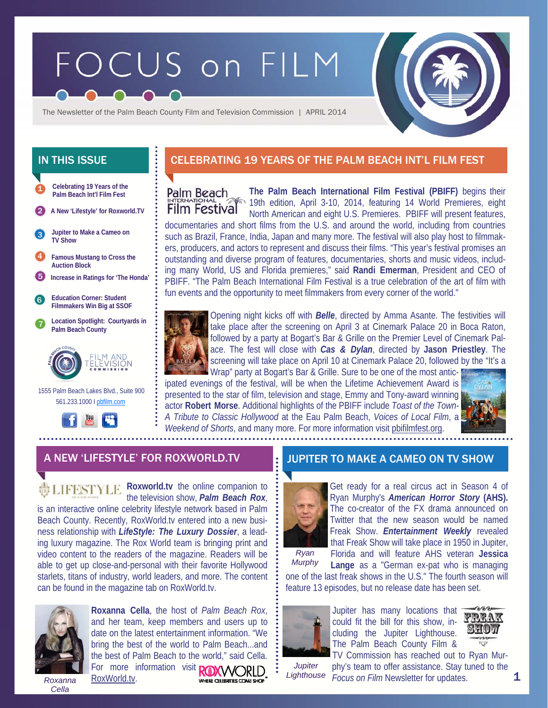# FOCUS on FILM



The Newsletter of the Palm Beach County Film and Television Commission | APRIL 2014

**Celebrating 19 Years of the Palm Beach Int'l Film Fest Jupiter to Make a Cameo on TV Show**  1 2 3 4 5 6 7 1555 Palm Beach Lakes Blvd., Suite 900 **Location Spotlight: Courtyards in Palm Beach County Education Corner: Student Filmmakers Win Big at SSOF A New 'Lifestyle' for Roxworld.TV Increase in Ratings for 'The Honda' Famous Mustang to Cross the Auction Block** 

# 561.233.1000 I pbfilm.com



# IN THIS ISSUE **CELEBRATING 19 YEARS OF THE PALM BEACH INT'L FILM FEST**

**The Palm Beach International Film Festival (PBIFF)** begins their Palm Beach 19th edition, April 3-10, 2014, featuring 14 World Premieres, eight **Film Festival** North American and eight U.S. Premieres. PBIFF will present features, documentaries and short films from the U.S. and around the world, including from countries such as Brazil, France, India, Japan and many more. The festival will also play host to filmmakers, producers, and actors to represent and discuss their films. "This year's festival promises an outstanding and diverse program of features, documentaries, shorts and music videos, including many World, US and Florida premieres," said **Randi Emerman**, President and CEO of PBIFF. "The Palm Beach International Film Festival is a true celebration of the art of film with fun events and the opportunity to meet filmmakers from every corner of the world."



Opening night kicks off with *Belle*, directed by Amma Asante. The festivities will take place after the screening on April 3 at Cinemark Palace 20 in Boca Raton, followed by a party at Bogart's Bar & Grille on the Premier Level of Cinemark Palace. The fest will close with *Cas & Dylan*, directed by **Jason Priestley**. The screening will take place on April 10 at Cinemark Palace 20, followed by the "It's a

Wrap" party at Bogart's Bar & Grille. Sure to be one of the most anticipated evenings of the festival, will be when the Lifetime Achievement Award is presented to the star of film, television and stage, Emmy and Tony-award winning actor **Robert Morse**. Additional highlights of the PBIFF include *Toast of the Town-A Tribute to Classic Hollywood* at the Eau Palm Beach, *Voices of Local Film*, a *Weekend of Shorts*, and many more. For more information visit pbifilmfest.org.



#### A NEW 'LIFESTYLE' FOR ROXWORLD.TV **JULL** JUPITER TO MAKE A CAMEO ON TV SHOW

**Roxworld.tv** the online companion to the television show, *Palm Beach Rox*, is an interactive online celebrity lifestyle network based in Palm Beach County. Recently, RoxWorld.tv entered into a new business relationship with *LifeStyle: The Luxury Dossier*, a leading luxury magazine. The Rox World team is bringing print and video content to the readers of the magazine. Readers will be able to get up close-and-personal with their favorite Hollywood starlets, titans of industry, world leaders, and more. The content can be found in the magazine tab on RoxWorld.tv.



**Roxanna Cella**, the host of *Palm Beach Rox*, and her team, keep members and users up to date on the latest entertainment information. "We bring the best of the world to Palm Beach...and the best of Palm Beach to the world," said Cella. For more information visit **ROXWORLD** RoxWorld.tv.

WHERE CELEBRITIES COME SHOP

*Roxanna Cella* 



Get ready for a real circus act in Season 4 of Ryan Murphy's *American Horror Story* **(AHS).**  The co-creator of the FX drama announced on Twitter that the new season would be named Freak Show. *Entertainment Weekly* revealed that Freak Show will take place in 1950 in Jupiter, Florida and will feature AHS veteran **Jessica** 

*Murphy* 

**Lange** as a "German ex-pat who is managing

one of the last freak shows in the U.S." The fourth season will feature 13 episodes, but no release date has been set.



Jupiter has many locations that could fit the bill for this show, including the Jupiter Lighthouse. The Palm Beach County Film &



*Jupiter Lighthouse* 

TV Commission has reached out to Ryan Murphy's team to offer assistance. Stay tuned to the *Focus on Film* Newsletter for updates.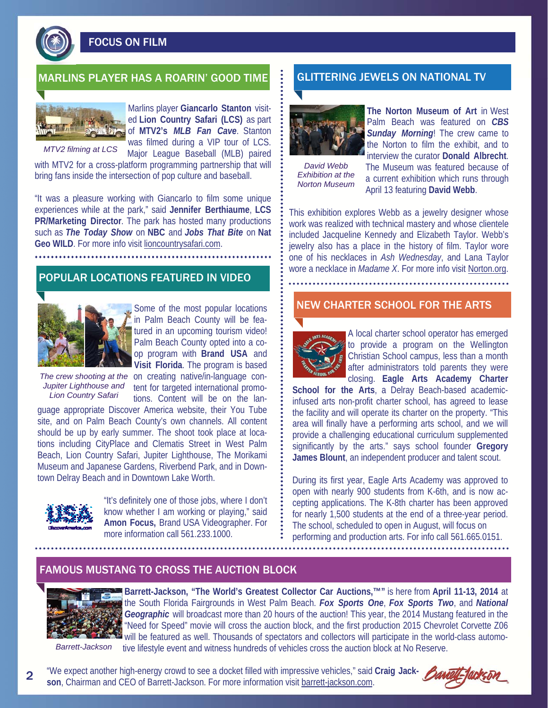FOCUS ON FILM

# MARLINS PLAYER HAS A ROARIN' GOOD TIME GLITTERING JEWELS ON NATIONAL TV



*MTV2 filming at LCS* 

Marlins player **Giancarlo Stanton** visited **Lion Country Safari (LCS)** as part of **MTV2's** *MLB Fan Cave*. Stanton was filmed during a VIP tour of LCS.

Major League Baseball (MLB) paired with MTV2 for a cross-platform programming partnership that will bring fans inside the intersection of pop culture and baseball.

"It was a pleasure working with Giancarlo to film some unique experiences while at the park," said **Jennifer Berthiaume**, **LCS PR/Marketing Director**. The park has hosted many productions such as *The Today Show* on **NBC** and *Jobs That Bite* on **Nat Geo WILD**. For more info visit lioncountrysafari.com.

## POPULAR LOCATIONS FEATURED IN VIDEO



Some of the most popular locations in Palm Beach County will be featured in an upcoming tourism video! Palm Beach County opted into a coop program with **Brand USA** and **Visit Florida**. The program is based

The crew shooting at the on creating native/in-language con-Jupiter Lighthouse and tent for targeted international promo-*Lion Country Safari* 

tions. Content will be on the language appropriate Discover America website, their You Tube site, and on Palm Beach County's own channels. All content should be up by early summer. The shoot took place at locations including CityPlace and Clematis Street in West Palm Beach, Lion Country Safari, Jupiter Lighthouse, The Morikami Museum and Japanese Gardens, Riverbend Park, and in Downtown Delray Beach and in Downtown Lake Worth.



"It's definitely one of those jobs, where I don't know whether I am working or playing," said **Amon Focus,** Brand USA Videographer. For more information call 561.233.1000.



**The Norton Museum of Art** in West Palm Beach was featured on *CBS Sunday Morning*! The crew came to the Norton to film the exhibit, and to interview the curator **Donald Albrecht**.

*David Webb Exhibition at the Norton Museum* 

The Museum was featured because of a current exhibition which runs through April 13 featuring **David Webb**.

This exhibition explores Webb as a jewelry designer whose work was realized with technical mastery and whose clientele included Jacqueline Kennedy and Elizabeth Taylor. Webb's jewelry also has a place in the history of film. Taylor wore one of his necklaces in *Ash Wednesday*, and Lana Taylor wore a necklace in *Madame X*. For more info visit Norton.org.

#### NEW CHARTER SCHOOL FOR THE ARTS



A local charter school operator has emerged to provide a program on the Wellington Christian School campus, less than a month after administrators told parents they were closing. **Eagle Arts Academy Charter** 

**School for the Arts**, a Delray Beach-based academicinfused arts non-profit charter school, has agreed to lease the facility and will operate its charter on the property. "This area will finally have a performing arts school, and we will provide a challenging educational curriculum supplemented significantly by the arts." says school founder **Gregory James Blount**, an independent producer and talent scout.

During its first year, Eagle Arts Academy was approved to open with nearly 900 students from K-6th, and is now accepting applications. The K-8th charter has been approved for nearly 1,500 students at the end of a three-year period. The school, scheduled to open in August, will focus on performing and production arts. For info call 561.665.0151.

#### FAMOUS MUSTANG TO CROSS THE AUCTION BLOCK



**Barrett-Jackson, "The World's Greatest Collector Car Auctions,™"** is here from **April 11-13, 2014** at the South Florida Fairgrounds in West Palm Beach. *Fox Sports One*, *Fox Sports Two*, and *National Geographic* will broadcast more than 20 hours of the auction! This year, the 2014 Mustang featured in the "Need for Speed" movie will cross the auction block, and the first production 2015 Chevrolet Corvette Z06 will be featured as well. Thousands of spectators and collectors will participate in the world-class automotive lifestyle event and witness hundreds of vehicles cross the auction block at No Reserve.

*Barrett-Jackson* 

2

"We expect another high-energy crowd to see a docket filled with impressive vehicles," said Craig Jack- **Banty-fack-Fi son**, Chairman and CEO of Barrett-Jackson. For more information visit barrett-jackson.com.

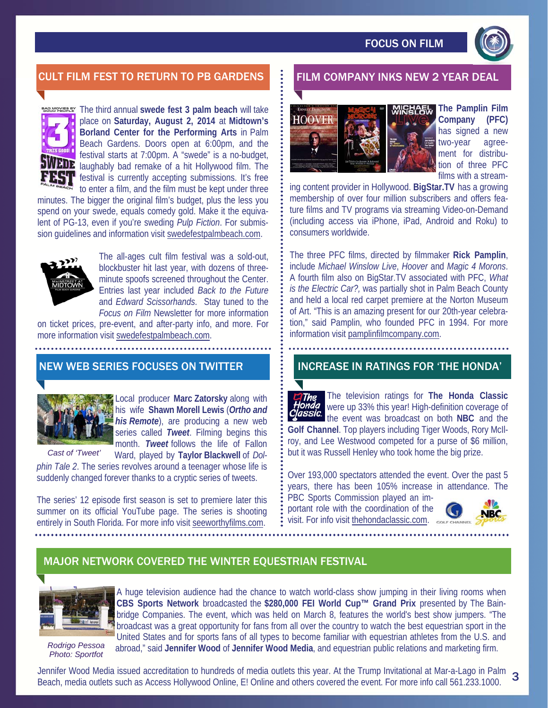

# CULT FILM FEST TO RETURN TO PB GARDENS FILM COMPANY INKS NEW 2 YEAR DEAL



**EXECUTE:** The third annual swede fest 3 palm beach will take place on **Saturday, August 2, 2014** at **Midtown's Borland Center for the Performing Arts** in Palm Beach Gardens. Doors open at 6:00pm, and the festival starts at 7:00pm. A "swede" is a no-budget, **VEDE** laughably bad remake of a hit Hollywood film. The **festival is currently accepting submissions. It's free** to enter a film, and the film must be kept under three

minutes. The bigger the original film's budget, plus the less you spend on your swede, equals comedy gold. Make it the equivalent of PG-13, even if you're sweding *Pulp Fiction*. For submission guidelines and information visit swedefestpalmbeach.com.



The all-ages cult film festival was a sold-out, blockbuster hit last year, with dozens of threeminute spoofs screened throughout the Center. Entries last year included *Back to the Future*  and *Edward Scissorhands*. Stay tuned to the *Focus on Film* Newsletter for more information

on ticket prices, pre-event, and after-party info, and more. For more information visit swedefestpalmbeach.com.

# NEW WEB SERIES FOCUSES ON TWITTER



Local producer **Marc Zatorsky** along with his wife **Shawn Morell Lewis** (*Ortho and his Remote*), are producing a new web series called *Tweet*. Filming begins this month. *Tweet* follows the life of Fallon

Ward, played by **Taylor Blackwell** of *Dolphin Tale 2*. The series revolves around a teenager whose life is suddenly changed forever thanks to a cryptic series of tweets. *Cast of 'Tweet'* 

The series' 12 episode first season is set to premiere later this summer on its official YouTube page. The series is shooting entirely in South Florida. For more info visit seeworthyfilms.com.



**The Pamplin Film Company (PFC)**  has signed a new two-year agreement for distribution of three PFC films with a stream-

ing content provider in Hollywood. **BigStar.TV** has a growing membership of over four million subscribers and offers feature films and TV programs via streaming Video-on-Demand (including access via iPhone, iPad, Android and Roku) to consumers worldwide.

The three PFC films, directed by filmmaker **Rick Pamplin**, include *Michael Winslow Live*, *Hoover* and *Magic 4 Morons*. A fourth film also on BigStar.TV associated with PFC, *What is the Electric Car?,* was partially shot in Palm Beach County and held a local red carpet premiere at the Norton Museum of Art. "This is an amazing present for our 20th-year celebration," said Pamplin, who founded PFC in 1994. For more information visit pamplinfilmcompany.com.

## INCREASE IN RATINGS FOR 'THE HONDA'

The television ratings for **The Honda Classic**  The were up 33% this year! High-definition coverage of the event was broadcast on both **NBC** and the **Golf Channel**. Top players including Tiger Woods, Rory McIlroy, and Lee Westwood competed for a purse of \$6 million, but it was Russell Henley who took home the big prize.

Over 193,000 spectators attended the event. Over the past 5 years, there has been 105% increase in attendance. The PBC Sports Commission played an im-

portant role with the coordination of the visit. For info visit thehondaclassic.com.



## MAJOR NETWORK COVERED THE WINTER EQUESTRIAN FESTIVAL



A huge television audience had the chance to watch world-class show jumping in their living rooms when **CBS Sports Network** broadcasted the **\$280,000 FEI World Cup™ Grand Prix** presented by The Bainbridge Companies. The event, which was held on March 8, features the world's best show jumpers. "The broadcast was a great opportunity for fans from all over the country to watch the best equestrian sport in the United States and for sports fans of all types to become familiar with equestrian athletes from the U.S. and

*Rodrigo Pessoa Photo: Sportfot* 

abroad," said **Jennifer Wood** of **Jennifer Wood Media**, and equestrian public relations and marketing firm.

Jennifer Wood Media issued accreditation to hundreds of media outlets this year. At the Trump Invitational at Mar-a-Lago in Palm 3<br>Beach, media outlets such as Access Hollywood Opline. El Opline and others covered the even Beach, media outlets such as Access Hollywood Online, E! Online and others covered the event. For more info call 561.233.1000.